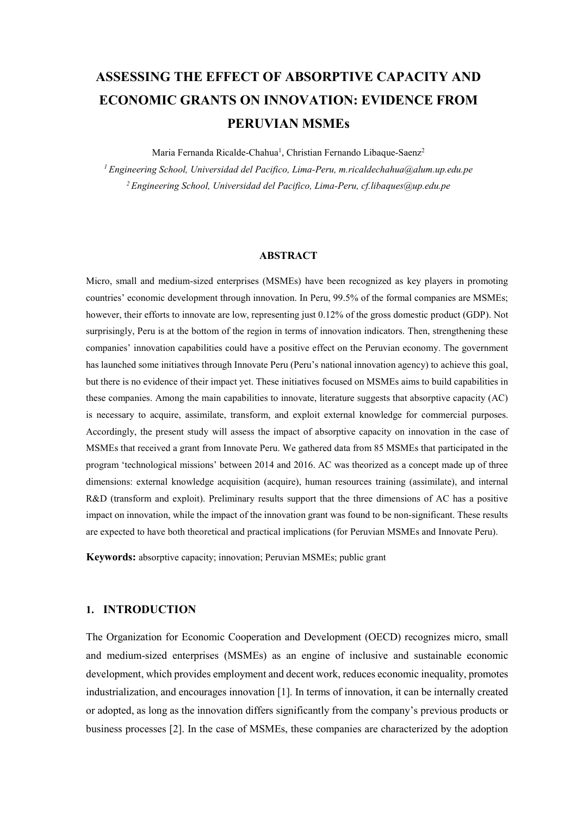# **ASSESSING THE EFFECT OF ABSORPTIVE CAPACITY AND ECONOMIC GRANTS ON INNOVATION: EVIDENCE FROM PERUVIAN MSMEs**

Maria Fernanda Ricalde-Chahua<sup>1</sup>, Christian Fernando Libaque-Saenz<sup>2</sup> *1 Engineering School, Universidad del Pacifico, Lima-Peru, m.ricaldechahua@alum.up.edu.pe 2 Engineering School, Universidad del Pacifico, Lima-Peru, cf.libaques@up.edu.pe*

#### **ABSTRACT**

Micro, small and medium-sized enterprises (MSMEs) have been recognized as key players in promoting countries' economic development through innovation. In Peru, 99.5% of the formal companies are MSMEs; however, their efforts to innovate are low, representing just 0.12% of the gross domestic product (GDP). Not surprisingly, Peru is at the bottom of the region in terms of innovation indicators. Then, strengthening these companies' innovation capabilities could have a positive effect on the Peruvian economy. The government has launched some initiatives through Innovate Peru (Peru's national innovation agency) to achieve this goal, but there is no evidence of their impact yet. These initiatives focused on MSMEs aims to build capabilities in these companies. Among the main capabilities to innovate, literature suggests that absorptive capacity (AC) is necessary to acquire, assimilate, transform, and exploit external knowledge for commercial purposes. Accordingly, the present study will assess the impact of absorptive capacity on innovation in the case of MSMEs that received a grant from Innovate Peru. We gathered data from 85 MSMEs that participated in the program 'technological missions' between 2014 and 2016. AC was theorized as a concept made up of three dimensions: external knowledge acquisition (acquire), human resources training (assimilate), and internal R&D (transform and exploit). Preliminary results support that the three dimensions of AC has a positive impact on innovation, while the impact of the innovation grant was found to be non-significant. These results are expected to have both theoretical and practical implications (for Peruvian MSMEs and Innovate Peru).

**Keywords:** absorptive capacity; innovation; Peruvian MSMEs; public grant

## **1. INTRODUCTION**

The Organization for Economic Cooperation and Development (OECD) recognizes micro, small and medium-sized enterprises (MSMEs) as an engine of inclusive and sustainable economic development, which provides employment and decent work, reduces economic inequality, promotes industrialization, and encourages innovation [1]. In terms of innovation, it can be internally created or adopted, as long as the innovation differs significantly from the company's previous products or business processes [2]. In the case of MSMEs, these companies are characterized by the adoption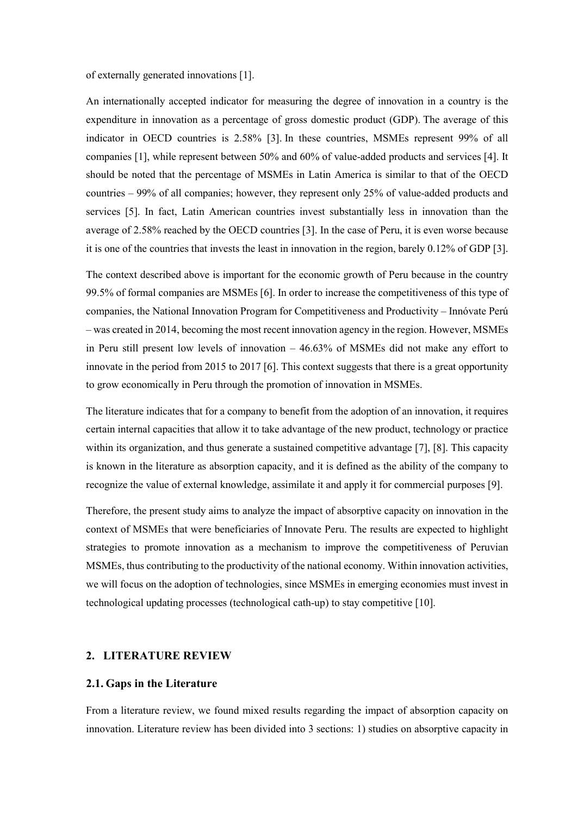of externally generated innovations [1].

An internationally accepted indicator for measuring the degree of innovation in a country is the expenditure in innovation as a percentage of gross domestic product (GDP). The average of this indicator in OECD countries is 2.58% [3]. In these countries, MSMEs represent 99% of all companies [1], while represent between 50% and 60% of value-added products and services [4]. It should be noted that the percentage of MSMEs in Latin America is similar to that of the OECD countries – 99% of all companies; however, they represent only 25% of value-added products and services [5]. In fact, Latin American countries invest substantially less in innovation than the average of 2.58% reached by the OECD countries [3]. In the case of Peru, it is even worse because it is one of the countries that invests the least in innovation in the region, barely 0.12% of GDP [3].

The context described above is important for the economic growth of Peru because in the country 99.5% of formal companies are MSMEs [6]. In order to increase the competitiveness of this type of companies, the National Innovation Program for Competitiveness and Productivity – Innóvate Perú – was created in 2014, becoming the most recent innovation agency in the region. However, MSMEs in Peru still present low levels of innovation – 46.63% of MSMEs did not make any effort to innovate in the period from 2015 to 2017 [6]. This context suggests that there is a great opportunity to grow economically in Peru through the promotion of innovation in MSMEs.

The literature indicates that for a company to benefit from the adoption of an innovation, it requires certain internal capacities that allow it to take advantage of the new product, technology or practice within its organization, and thus generate a sustained competitive advantage [7], [8]. This capacity is known in the literature as absorption capacity, and it is defined as the ability of the company to recognize the value of external knowledge, assimilate it and apply it for commercial purposes [9].

Therefore, the present study aims to analyze the impact of absorptive capacity on innovation in the context of MSMEs that were beneficiaries of Innovate Peru. The results are expected to highlight strategies to promote innovation as a mechanism to improve the competitiveness of Peruvian MSMEs, thus contributing to the productivity of the national economy. Within innovation activities, we will focus on the adoption of technologies, since MSMEs in emerging economies must invest in technological updating processes (technological cath-up) to stay competitive [10].

## **2. LITERATURE REVIEW**

## **2.1. Gaps in the Literature**

From a literature review, we found mixed results regarding the impact of absorption capacity on innovation. Literature review has been divided into 3 sections: 1) studies on absorptive capacity in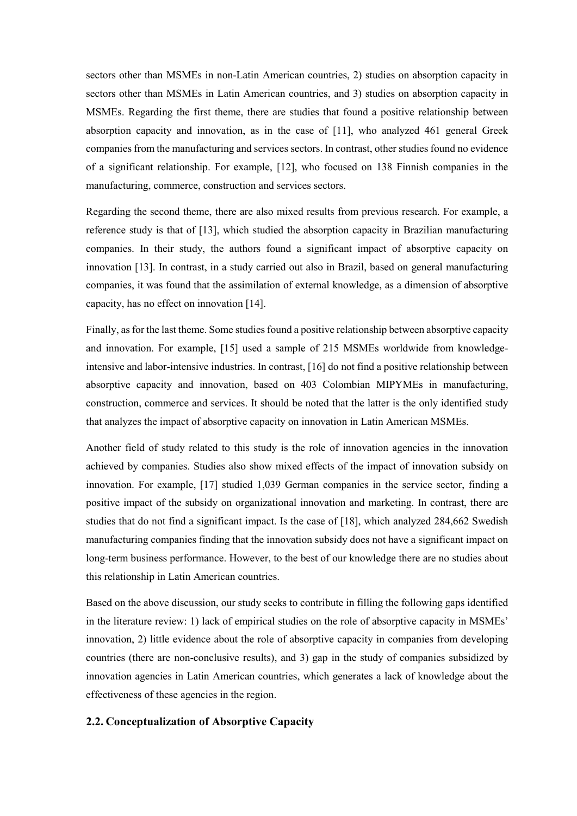sectors other than MSMEs in non-Latin American countries, 2) studies on absorption capacity in sectors other than MSMEs in Latin American countries, and 3) studies on absorption capacity in MSMEs. Regarding the first theme, there are studies that found a positive relationship between absorption capacity and innovation, as in the case of [11], who analyzed 461 general Greek companies from the manufacturing and services sectors. In contrast, other studies found no evidence of a significant relationship. For example, [12], who focused on 138 Finnish companies in the manufacturing, commerce, construction and services sectors.

Regarding the second theme, there are also mixed results from previous research. For example, a reference study is that of [13], which studied the absorption capacity in Brazilian manufacturing companies. In their study, the authors found a significant impact of absorptive capacity on innovation [13]. In contrast, in a study carried out also in Brazil, based on general manufacturing companies, it was found that the assimilation of external knowledge, as a dimension of absorptive capacity, has no effect on innovation [14].

Finally, as for the last theme. Some studies found a positive relationship between absorptive capacity and innovation. For example, [15] used a sample of 215 MSMEs worldwide from knowledgeintensive and labor-intensive industries. In contrast, [16] do not find a positive relationship between absorptive capacity and innovation, based on 403 Colombian MIPYMEs in manufacturing, construction, commerce and services. It should be noted that the latter is the only identified study that analyzes the impact of absorptive capacity on innovation in Latin American MSMEs.

Another field of study related to this study is the role of innovation agencies in the innovation achieved by companies. Studies also show mixed effects of the impact of innovation subsidy on innovation. For example, [17] studied 1,039 German companies in the service sector, finding a positive impact of the subsidy on organizational innovation and marketing. In contrast, there are studies that do not find a significant impact. Is the case of [18], which analyzed 284,662 Swedish manufacturing companies finding that the innovation subsidy does not have a significant impact on long-term business performance. However, to the best of our knowledge there are no studies about this relationship in Latin American countries.

Based on the above discussion, our study seeks to contribute in filling the following gaps identified in the literature review: 1) lack of empirical studies on the role of absorptive capacity in MSMEs' innovation, 2) little evidence about the role of absorptive capacity in companies from developing countries (there are non-conclusive results), and 3) gap in the study of companies subsidized by innovation agencies in Latin American countries, which generates a lack of knowledge about the effectiveness of these agencies in the region.

## **2.2. Conceptualization of Absorptive Capacity**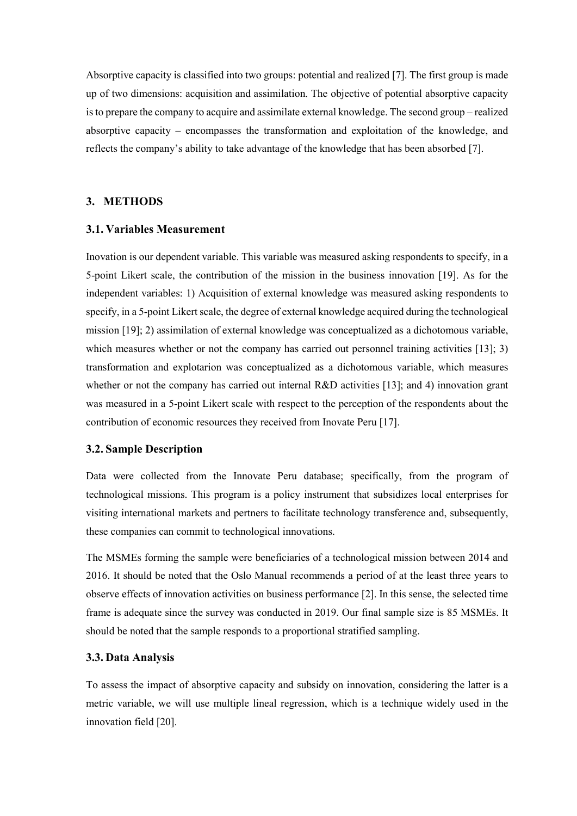Absorptive capacity is classified into two groups: potential and realized [7]. The first group is made up of two dimensions: acquisition and assimilation. The objective of potential absorptive capacity is to prepare the company to acquire and assimilate external knowledge. The second group – realized absorptive capacity – encompasses the transformation and exploitation of the knowledge, and reflects the company's ability to take advantage of the knowledge that has been absorbed [7].

## **3. METHODS**

## **3.1. Variables Measurement**

Inovation is our dependent variable. This variable was measured asking respondents to specify, in a 5-point Likert scale, the contribution of the mission in the business innovation [19]. As for the independent variables: 1) Acquisition of external knowledge was measured asking respondents to specify, in a 5-point Likert scale, the degree of external knowledge acquired during the technological mission [19]; 2) assimilation of external knowledge was conceptualized as a dichotomous variable, which measures whether or not the company has carried out personnel training activities [13]; 3) transformation and explotarion was conceptualized as a dichotomous variable, which measures whether or not the company has carried out internal R&D activities [13]; and 4) innovation grant was measured in a 5-point Likert scale with respect to the perception of the respondents about the contribution of economic resources they received from Inovate Peru [17].

#### **3.2. Sample Description**

Data were collected from the Innovate Peru database; specifically, from the program of technological missions. This program is a policy instrument that subsidizes local enterprises for visiting international markets and pertners to facilitate technology transference and, subsequently, these companies can commit to technological innovations.

The MSMEs forming the sample were beneficiaries of a technological mission between 2014 and 2016. It should be noted that the Oslo Manual recommends a period of at the least three years to observe effects of innovation activities on business performance [2]. In this sense, the selected time frame is adequate since the survey was conducted in 2019. Our final sample size is 85 MSMEs. It should be noted that the sample responds to a proportional stratified sampling.

#### **3.3. Data Analysis**

To assess the impact of absorptive capacity and subsidy on innovation, considering the latter is a metric variable, we will use multiple lineal regression, which is a technique widely used in the innovation field [20].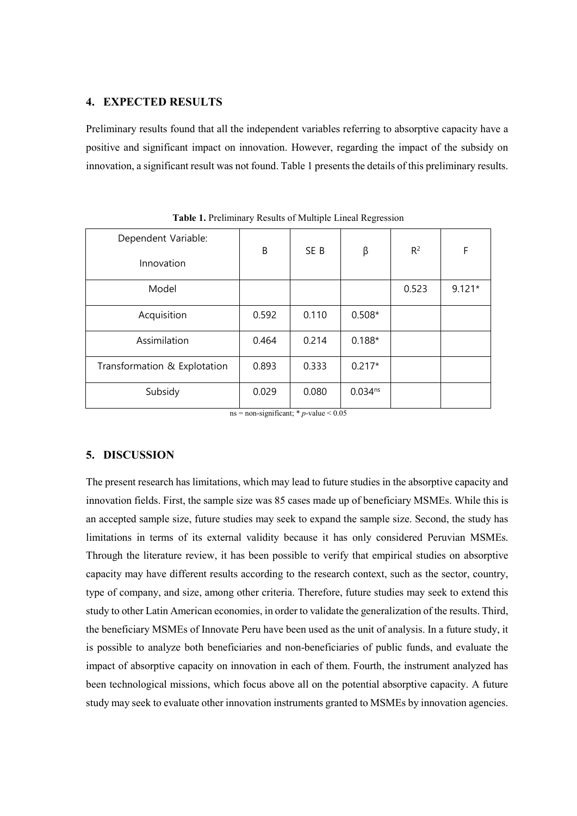## **4. EXPECTED RESULTS**

Preliminary results found that all the independent variables referring to absorptive capacity have a positive and significant impact on innovation. However, regarding the impact of the subsidy on innovation, a significant result was not found. Table 1 presents the details of this preliminary results.

| B     | SE <sub>B</sub> | β            | $R^2$ | F        |
|-------|-----------------|--------------|-------|----------|
|       |                 |              | 0.523 | $9.121*$ |
| 0.592 | 0.110           | $0.508*$     |       |          |
| 0.464 | 0.214           | $0.188*$     |       |          |
| 0.893 | 0.333           | $0.217*$     |       |          |
| 0.029 | 0.080           | $0.034^{ns}$ |       |          |
|       |                 |              |       |          |

**Table 1.** Preliminary Results of Multiple Lineal Regression

ns = non-significant;  $*$  *p*-value < 0.05

## **5. DISCUSSION**

The present research has limitations, which may lead to future studies in the absorptive capacity and innovation fields. First, the sample size was 85 cases made up of beneficiary MSMEs. While this is an accepted sample size, future studies may seek to expand the sample size. Second, the study has limitations in terms of its external validity because it has only considered Peruvian MSMEs. Through the literature review, it has been possible to verify that empirical studies on absorptive capacity may have different results according to the research context, such as the sector, country, type of company, and size, among other criteria. Therefore, future studies may seek to extend this study to other Latin American economies, in order to validate the generalization of the results. Third, the beneficiary MSMEs of Innovate Peru have been used as the unit of analysis. In a future study, it is possible to analyze both beneficiaries and non-beneficiaries of public funds, and evaluate the impact of absorptive capacity on innovation in each of them. Fourth, the instrument analyzed has been technological missions, which focus above all on the potential absorptive capacity. A future study may seek to evaluate other innovation instruments granted to MSMEs by innovation agencies.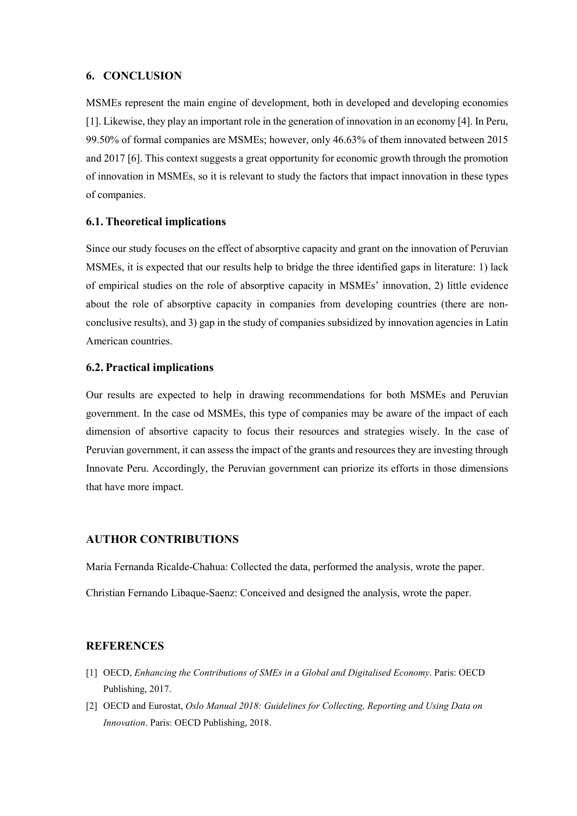## **6. CONCLUSION**

MSMEs represent the main engine of development, both in developed and developing economies [1]. Likewise, they play an important role in the generation of innovation in an economy [4]. In Peru, 99.50% of formal companies are MSMEs; however, only 46.63% of them innovated between 2015 and 2017 [6]. This context suggests a great opportunity for economic growth through the promotion of innovation in MSMEs, so it is relevant to study the factors that impact innovation in these types of companies.

## **6.1. Theoretical implications**

Since our study focuses on the effect of absorptive capacity and grant on the innovation of Peruvian MSMEs, it is expected that our results help to bridge the three identified gaps in literature: 1) lack of empirical studies on the role of absorptive capacity in MSMEs' innovation, 2) little evidence about the role of absorptive capacity in companies from developing countries (there are nonconclusive results), and 3) gap in the study of companies subsidized by innovation agencies in Latin American countries.

## **6.2. Practical implications**

Our results are expected to help in drawing recommendations for both MSMEs and Peruvian government. In the case od MSMEs, this type of companies may be aware of the impact of each dimension of absortive capacity to focus their resources and strategies wisely. In the case of Peruvian government, it can assess the impact of the grants and resources they are investing through Innovate Peru. Accordingly, the Peruvian government can priorize its efforts in those dimensions that have more impact.

# **AUTHOR CONTRIBUTIONS**

Maria Fernanda Ricalde-Chahua: Collected the data, performed the analysis, wrote the paper.

Christian Fernando Libaque-Saenz: Conceived and designed the analysis, wrote the paper.

## **REFERENCES**

- [1] OECD, *Enhancing the Contributions of SMEs in a Global and Digitalised Economy*. Paris: OECD Publishing, 2017.
- [2] OECD and Eurostat, *Oslo Manual 2018: Guidelines for Collecting, Reporting and Using Data on Innovation*. Paris: OECD Publishing, 2018.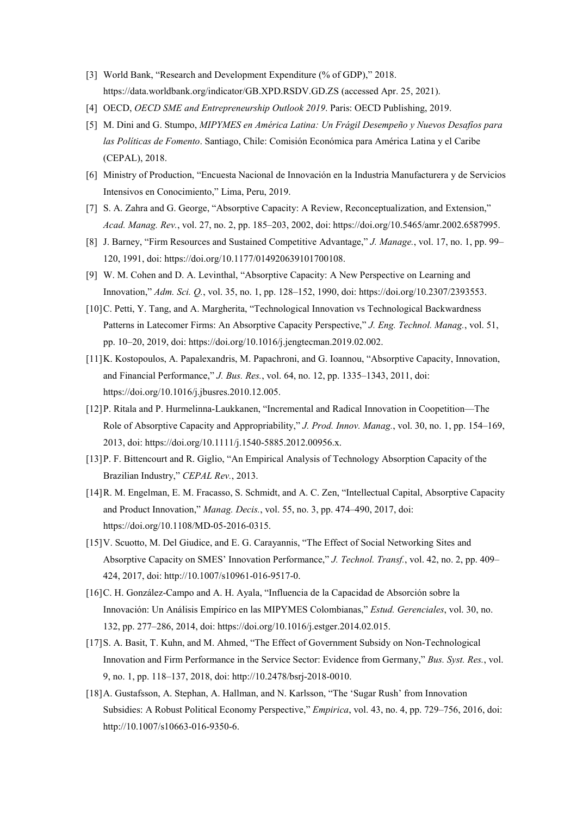- [3] World Bank, "Research and Development Expenditure (% of GDP)," 2018. https://data.worldbank.org/indicator/GB.XPD.RSDV.GD.ZS (accessed Apr. 25, 2021).
- [4] OECD, *OECD SME and Entrepreneurship Outlook 2019*. Paris: OECD Publishing, 2019.
- [5] M. Dini and G. Stumpo, *MIPYMES en América Latina: Un Frágil Desempeño y Nuevos Desafíos para las Políticas de Fomento*. Santiago, Chile: Comisión Económica para América Latina y el Caribe (CEPAL), 2018.
- [6] Ministry of Production, "Encuesta Nacional de Innovación en la Industria Manufacturera y de Servicios Intensivos en Conocimiento," Lima, Peru, 2019.
- [7] S. A. Zahra and G. George, "Absorptive Capacity: A Review, Reconceptualization, and Extension," *Acad. Manag. Rev.*, vol. 27, no. 2, pp. 185–203, 2002, doi: https://doi.org/10.5465/amr.2002.6587995.
- [8] J. Barney, "Firm Resources and Sustained Competitive Advantage," *J. Manage.*, vol. 17, no. 1, pp. 99– 120, 1991, doi: https://doi.org/10.1177/014920639101700108.
- [9] W. M. Cohen and D. A. Levinthal, "Absorptive Capacity: A New Perspective on Learning and Innovation," *Adm. Sci. Q.*, vol. 35, no. 1, pp. 128–152, 1990, doi: https://doi.org/10.2307/2393553.
- [10]C. Petti, Y. Tang, and A. Margherita, "Technological Innovation vs Technological Backwardness Patterns in Latecomer Firms: An Absorptive Capacity Perspective," *J. Eng. Technol. Manag.*, vol. 51, pp. 10–20, 2019, doi: https://doi.org/10.1016/j.jengtecman.2019.02.002.
- [11]K. Kostopoulos, A. Papalexandris, M. Papachroni, and G. Ioannou, "Absorptive Capacity, Innovation, and Financial Performance," *J. Bus. Res.*, vol. 64, no. 12, pp. 1335–1343, 2011, doi: https://doi.org/10.1016/j.jbusres.2010.12.005.
- [12]P. Ritala and P. Hurmelinna‐Laukkanen, "Incremental and Radical Innovation in Coopetition—The Role of Absorptive Capacity and Appropriability," *J. Prod. Innov. Manag.*, vol. 30, no. 1, pp. 154–169, 2013, doi: https://doi.org/10.1111/j.1540-5885.2012.00956.x.
- [13]P. F. Bittencourt and R. Giglio, "An Empirical Analysis of Technology Absorption Capacity of the Brazilian Industry," *CEPAL Rev.*, 2013.
- [14]R. M. Engelman, E. M. Fracasso, S. Schmidt, and A. C. Zen, "Intellectual Capital, Absorptive Capacity and Product Innovation," *Manag. Decis.*, vol. 55, no. 3, pp. 474–490, 2017, doi: https://doi.org/10.1108/MD-05-2016-0315.
- [15]V. Scuotto, M. Del Giudice, and E. G. Carayannis, "The Effect of Social Networking Sites and Absorptive Capacity on SMES' Innovation Performance," *J. Technol. Transf.*, vol. 42, no. 2, pp. 409– 424, 2017, doi: http://10.1007/s10961-016-9517-0.
- [16]C. H. González-Campo and A. H. Ayala, "Influencia de la Capacidad de Absorción sobre la Innovación: Un Análisis Empírico en las MIPYMES Colombianas," *Estud. Gerenciales*, vol. 30, no. 132, pp. 277–286, 2014, doi: https://doi.org/10.1016/j.estger.2014.02.015.
- [17]S. A. Basit, T. Kuhn, and M. Ahmed, "The Effect of Government Subsidy on Non-Technological Innovation and Firm Performance in the Service Sector: Evidence from Germany," *Bus. Syst. Res.*, vol. 9, no. 1, pp. 118–137, 2018, doi: http://10.2478/bsrj-2018-0010.
- [18]A. Gustafsson, A. Stephan, A. Hallman, and N. Karlsson, "The 'Sugar Rush' from Innovation Subsidies: A Robust Political Economy Perspective," *Empirica*, vol. 43, no. 4, pp. 729–756, 2016, doi: http://10.1007/s10663-016-9350-6.